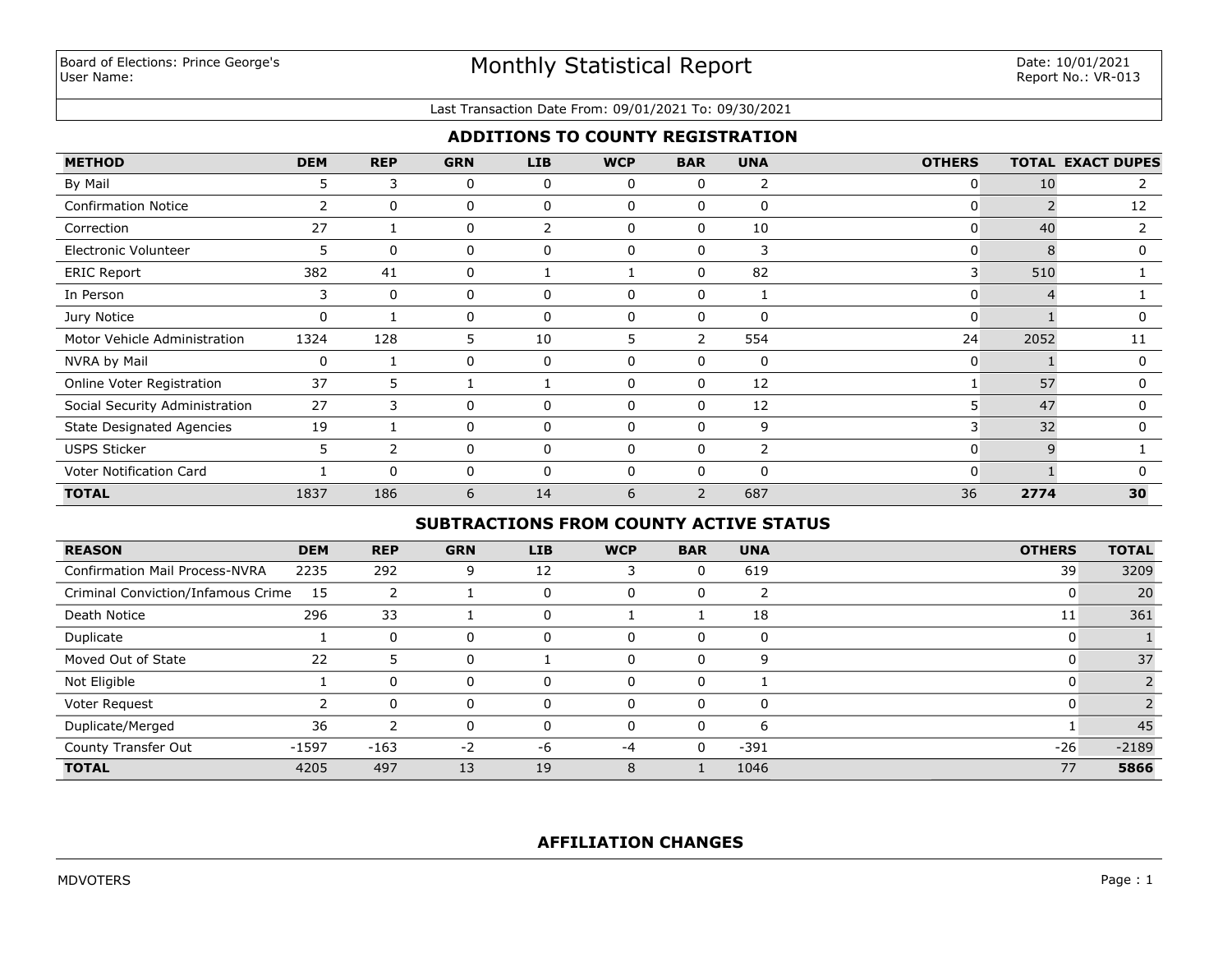#### Last Transaction Date From: 09/01/2021 To: 09/30/2021

# **ADDITIONS TO COUNTY REGISTRATION**

| <b>METHOD</b>                    | <b>DEM</b>     | <b>REP</b>   | <b>GRN</b> | <b>LIB</b>   | <b>WCP</b>   | <b>BAR</b>               | <b>UNA</b>     | <b>OTHERS</b> |      | <b>TOTAL EXACT DUPES</b> |
|----------------------------------|----------------|--------------|------------|--------------|--------------|--------------------------|----------------|---------------|------|--------------------------|
| By Mail                          | 5              | 3            | 0          | 0            | $\Omega$     | 0                        | $\overline{2}$ |               | 10   |                          |
| <b>Confirmation Notice</b>       | $\overline{2}$ | $\mathbf{0}$ | 0          | $\mathbf{0}$ | $\mathbf{0}$ | $\Omega$                 | $\mathbf 0$    | $\mathbf{0}$  |      | 12                       |
| Correction                       | 27             |              | 0          | 2            | 0            | $\Omega$                 | 10             | 0             | 40   |                          |
| Electronic Volunteer             | 5              | $\Omega$     | 0          | $\mathbf{0}$ | $\Omega$     | $\Omega$                 | 3              | 0             | 8    | 0                        |
| <b>ERIC Report</b>               | 382            | 41           | 0          |              |              | $\Omega$                 | 82             | 3             | 510  |                          |
| In Person                        | 3              | $\Omega$     | 0          | 0            | 0            | 0                        |                | 0             |      |                          |
| Jury Notice                      | 0              |              | 0          | $\mathbf{0}$ | $\Omega$     | $\Omega$                 | $\mathbf{0}$   | 0             |      | 0                        |
| Motor Vehicle Administration     | 1324           | 128          | 5          | 10           | 5.           | 2                        | 554            | 24            | 2052 | 11                       |
| NVRA by Mail                     | 0              |              | 0          | $\mathbf{0}$ | $\Omega$     | $\Omega$                 | $\mathbf 0$    | 0             |      | $\Omega$                 |
| Online Voter Registration        | 37             | 5.           |            |              | $\Omega$     | $\Omega$                 | 12             |               | 57   | 0                        |
| Social Security Administration   | 27             | 3            | 0          | 0            | 0            | 0                        | 12             | 5             | 47   | 0                        |
| <b>State Designated Agencies</b> | 19             |              | 0          | $\mathbf{0}$ | $\Omega$     | $\Omega$                 | 9              | 3             | 32   | 0                        |
| <b>USPS Sticker</b>              | 5              | 2            | 0          | 0            | $\Omega$     | $\Omega$                 | $\mathbf{2}$   | 0             | q    |                          |
| Voter Notification Card          |                | 0            | 0          | 0            | $\cap$       | 0                        | $\mathbf 0$    | 0             |      |                          |
| <b>TOTAL</b>                     | 1837           | 186          | 6          | 14           | 6            | $\overline{\phantom{0}}$ | 687            | 36            | 2774 | 30                       |

# **SUBTRACTIONS FROM COUNTY ACTIVE STATUS**

| <b>REASON</b>                         | <b>DEM</b> | <b>REP</b> | <b>GRN</b> | <b>LIB</b> | <b>WCP</b> | <b>BAR</b> | <b>UNA</b> | <b>OTHERS</b> | <b>TOTAL</b> |
|---------------------------------------|------------|------------|------------|------------|------------|------------|------------|---------------|--------------|
| <b>Confirmation Mail Process-NVRA</b> | 2235       | 292        | 9          | 12         | З          | 0          | 619        | 39            | 3209         |
| Criminal Conviction/Infamous Crime    | - 15       | 2          |            |            | 0          | C          | ົ          |               | 20           |
| Death Notice                          | 296        | 33         |            | 0          |            |            | 18         | 11            | 361          |
| Duplicate                             |            | $\Omega$   |            |            | 0          |            | 0          |               |              |
| Moved Out of State                    | 22         | כ          | 0          |            | $\Omega$   | U          | 9          |               | 37           |
| Not Eligible                          |            | $\Omega$   |            |            | $\Omega$   |            |            |               |              |
| Voter Request                         |            | $\Omega$   | 0          | $\Omega$   | $\Omega$   |            | 0          |               |              |
| Duplicate/Merged                      | 36         | っ          |            | $\Omega$   | $\Omega$   |            | 6          |               | 45           |
| County Transfer Out                   | $-1597$    | $-163$     | $-2$       | -6         | $-4$       | 0          | $-391$     | $-26$         | $-2189$      |
| <b>TOTAL</b>                          | 4205       | 497        | 13         | 19         | 8          |            | 1046       | 77            | 5866         |

# **AFFILIATION CHANGES**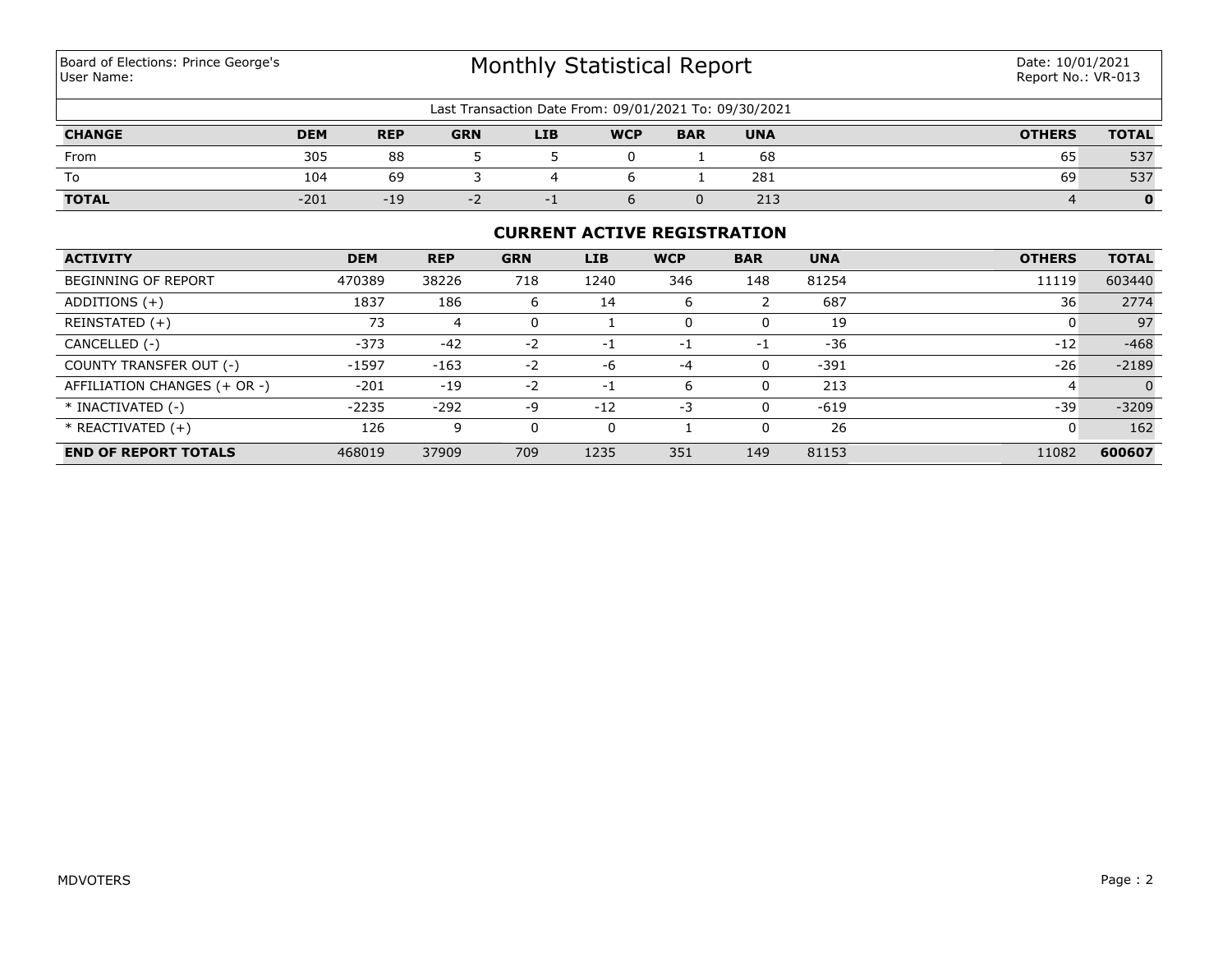# Monthly Statistical Report

| Last Transaction Date From: 09/01/2021 To: 09/30/2021 |            |            |            |            |            |            |            |               |              |  |
|-------------------------------------------------------|------------|------------|------------|------------|------------|------------|------------|---------------|--------------|--|
| <b>CHANGE</b>                                         | <b>DEM</b> | <b>REP</b> | <b>GRN</b> | <b>LIB</b> | <b>WCP</b> | <b>BAR</b> | <b>UNA</b> | <b>OTHERS</b> | <b>TOTAL</b> |  |
| From                                                  | 305        | 88         |            |            |            |            | 68         | 65            | 537          |  |
| To                                                    | 104        | 69         |            |            |            |            | 281        | 69            | 537          |  |
| <b>TOTAL</b>                                          | $-201$     | $-19$      | - 2        |            |            |            | 213        |               |              |  |

# **CURRENT ACTIVE REGISTRATION**

| <b>ACTIVITY</b>              | <b>DEM</b> | <b>REP</b> | <b>GRN</b> | <b>LIB</b> | <b>WCP</b> | <b>BAR</b> | <b>UNA</b> | <b>OTHERS</b> | <b>TOTAL</b> |
|------------------------------|------------|------------|------------|------------|------------|------------|------------|---------------|--------------|
| BEGINNING OF REPORT          | 470389     | 38226      | 718        | 1240       | 346        | 148        | 81254      | 11119         | 603440       |
| ADDITIONS $(+)$              | 1837       | 186        | ь          | 14         | 6          |            | 687        | 36            | 2774         |
| REINSTATED (+)               | 73         | 4          | 0          |            | 0          |            | 19         |               | 97           |
| CANCELLED (-)                | $-373$     | $-42$      | $-2$       | -1         | -1         | -1         | $-36$      | $-12$         | $-468$       |
| COUNTY TRANSFER OUT (-)      | $-1597$    | $-163$     | $-2$       | $-6$       | -4         |            | $-391$     | $-26$         | $-2189$      |
| AFFILIATION CHANGES (+ OR -) | $-201$     | $-19$      | $-2$       | ÷,         | 6          |            | 213        | 4             |              |
| * INACTIVATED (-)            | $-2235$    | $-292$     | -9         | $-12$      | $-3$       | $\Omega$   | $-619$     | $-39$         | $-3209$      |
| $*$ REACTIVATED $(+)$        | 126        | 9          | 0          |            |            |            | 26         | υ             | 162          |
| <b>END OF REPORT TOTALS</b>  | 468019     | 37909      | 709        | 1235       | 351        | 149        | 81153      | 11082         | 600607       |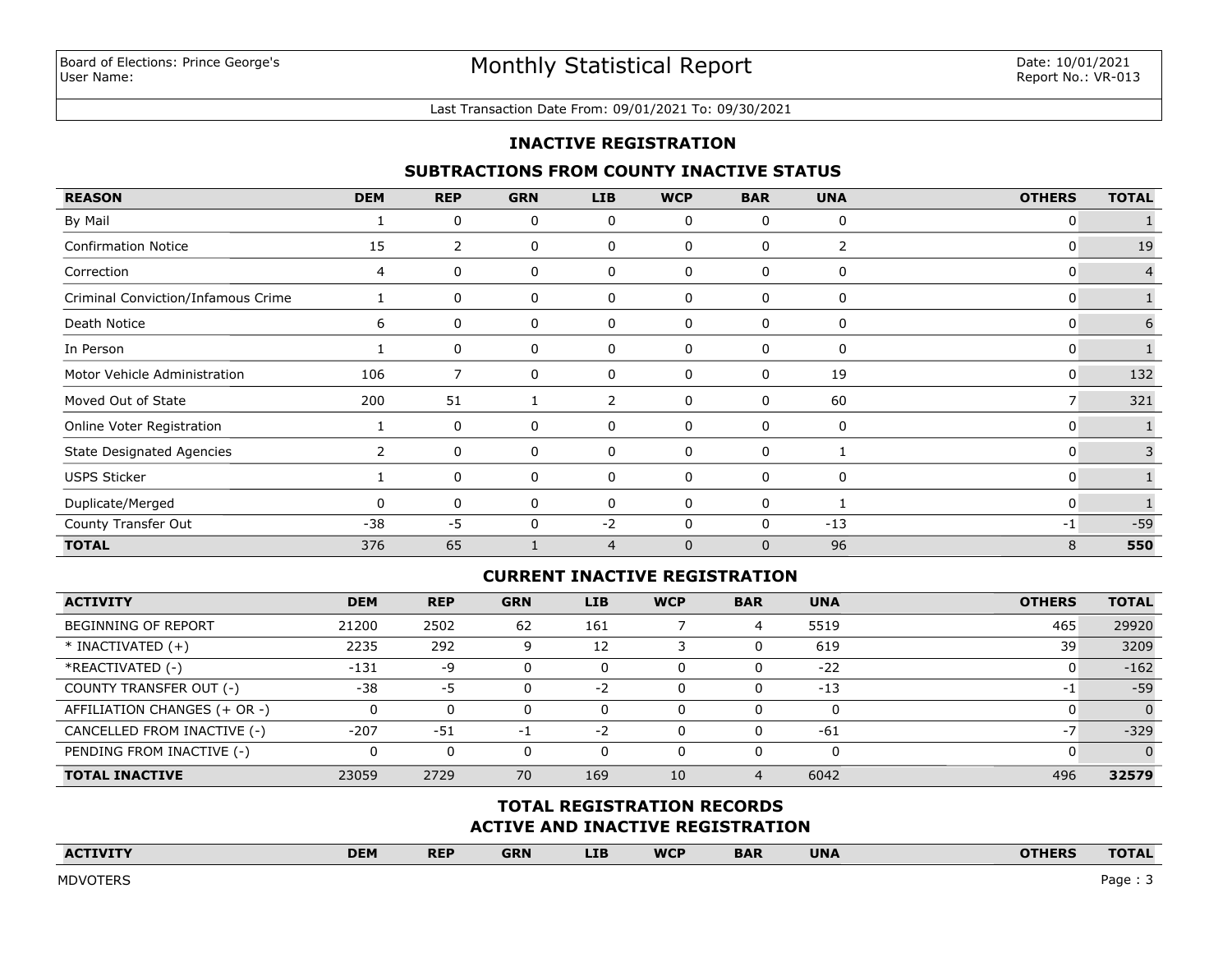#### Last Transaction Date From: 09/01/2021 To: 09/30/2021

## **INACTIVE REGISTRATION**

## **SUBTRACTIONS FROM COUNTY INACTIVE STATUS**

| <b>REASON</b>                      | <b>DEM</b> | <b>REP</b>     | <b>GRN</b> | LIB            | <b>WCP</b>  | <b>BAR</b>   | <b>UNA</b> | <b>OTHERS</b> | <b>TOTAL</b>   |
|------------------------------------|------------|----------------|------------|----------------|-------------|--------------|------------|---------------|----------------|
| By Mail                            |            | 0              | 0          | 0              | 0           | $\Omega$     | 0          | 0             |                |
| <b>Confirmation Notice</b>         | 15         | $\overline{2}$ | 0          | 0              | 0           | 0            | 2          | 0             | 19             |
| Correction                         | 4          | 0              | 0          | 0              | 0           | 0            | 0          | 0             | $\overline{4}$ |
| Criminal Conviction/Infamous Crime |            | 0              | 0          | 0              | 0           | 0            | 0          | 0             |                |
| Death Notice                       | 6          | 0              | 0          | 0              | 0           | 0            | 0          | 0             | 6              |
| In Person                          |            | 0              | 0          | 0              | 0           | 0            | 0          | 0             |                |
| Motor Vehicle Administration       | 106        | 7              | 0          | 0              | 0           | 0            | 19         | 0             | 132            |
| Moved Out of State                 | 200        | 51             |            | 2              | 0           | 0            | 60         | 7             | 321            |
| Online Voter Registration          |            | 0              | 0          | 0              | 0           | 0            | 0          | 0             |                |
| <b>State Designated Agencies</b>   | 2          | 0              | 0          | 0              | 0           | 0            |            | 0             |                |
| <b>USPS Sticker</b>                |            | 0              | 0          | 0              | 0           | $\Omega$     | 0          | 0             |                |
| Duplicate/Merged                   | 0          | 0              | 0          | 0              | 0           | 0            |            | 0             |                |
| County Transfer Out                | -38        | $-5$           | 0          | $-2$           | 0           | 0            | $-13$      | $-1$          | $-59$          |
| <b>TOTAL</b>                       | 376        | 65             |            | $\overline{4}$ | $\mathbf 0$ | $\mathbf{0}$ | 96         | 8             | 550            |

# **CURRENT INACTIVE REGISTRATION**

| <b>ACTIVITY</b>              | <b>DEM</b> | <b>REP</b> | <b>GRN</b> | <b>LIB</b> | <b>WCP</b> | <b>BAR</b>     | <b>UNA</b> | <b>OTHERS</b> | <b>TOTAL</b> |
|------------------------------|------------|------------|------------|------------|------------|----------------|------------|---------------|--------------|
| <b>BEGINNING OF REPORT</b>   | 21200      | 2502       | 62         | 161        |            | 4              | 5519       | 465           | 29920        |
| $*$ INACTIVATED $(+)$        | 2235       | 292        |            | 12         |            | 0              | 619        | 39            | 3209         |
| *REACTIVATED (-)             | $-131$     | -9         |            |            | 0          | 0              | $-22$      |               | $-162$       |
| COUNTY TRANSFER OUT (-)      | $-38$      | -5         |            | $-2$       | 0          | 0              | $-13$      | $-1$          | $-59$        |
| AFFILIATION CHANGES (+ OR -) |            | 0          |            | 0          | 0          | 0              | 0          |               | $\Omega$     |
| CANCELLED FROM INACTIVE (-)  | $-207$     | $-51$      | - 1        | $-2$       | 0          | 0              | $-61$      | $-7$          | $-329$       |
| PENDING FROM INACTIVE (-)    |            | 0          |            | 0          | 0          | 0              | 0          |               | $\Omega$     |
| <b>TOTAL INACTIVE</b>        | 23059      | 2729       | 70         | 169        | 10         | $\overline{4}$ | 6042       | 496           | 32579        |

# **ACTIVE AND INACTIVE REGISTRATION TOTAL REGISTRATION RECORDS**

| <b>ACTIVITY</b> | <b>DEM</b> | <b>REP</b> | <b>GRN</b> | <b>LIB</b> | <b>WCP</b> | <b>BAR</b> | <b>UNA</b> | <b>OTHERS</b> | <b>TOTAL</b> |
|-----------------|------------|------------|------------|------------|------------|------------|------------|---------------|--------------|
|                 |            |            |            |            |            |            |            |               |              |